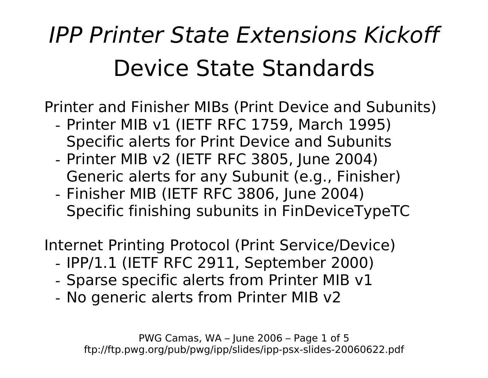## *IPP Printer State Extensions Kickoff*  Device State Standards

Printer and Finisher MIBs (Print Device and Subunits)

- Printer MIB v1 (IETF RFC 1759, March 1995) Specific alerts for Print Device and Subunits
- Printer MIB v2 (IETF RFC 3805, June 2004) Generic alerts for any Subunit (e.g., Finisher)
- Finisher MIB (IETF RFC 3806, June 2004) Specific finishing subunits in FinDeviceTypeTC

Internet Printing Protocol (Print Service/Device)

- IPP/1.1 (IETF RFC 2911, September 2000)
- Sparse specific alerts from Printer MIB v1
- No generic alerts from Printer MIB v2

PWG Camas, WA – June 2006 – Page 1 of 5 ftp://ftp.pwg.org/pub/pwg/ipp/slides/ipp-psx-slides-20060622.pdf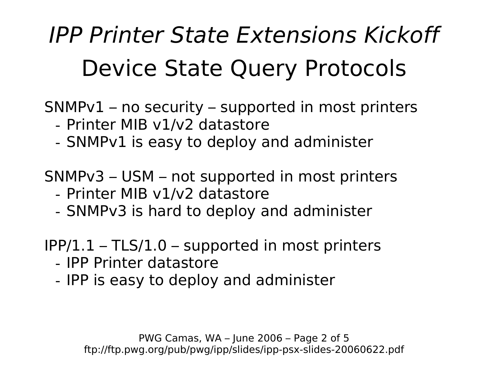# *IPP Printer State Extensions Kickoff*  Device State Query Protocols

SNMPv1 – no security – supported in most printers

- Printer MIB v1/v2 datastore
- SNMPv1 is easy to deploy and administer

SNMPv3 – USM – not supported in most printers

- Printer MIB v1/v2 datastore
- SNMPv3 is hard to deploy and administer

IPP/1.1 – TLS/1.0 – supported in most printers

- IPP Printer datastore
- IPP is easy to deploy and administer

PWG Camas, WA – June 2006 – Page 2 of 5 ftp://ftp.pwg.org/pub/pwg/ipp/slides/ipp-psx-slides-20060622.pdf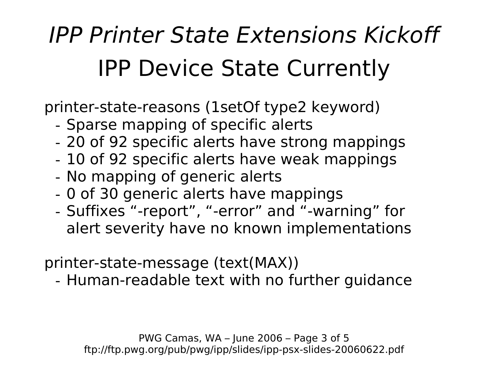# *IPP Printer State Extensions Kickoff*  IPP Device State Currently

printer-state-reasons (1setOf type2 keyword)

- Sparse mapping of specific alerts
- 20 of 92 specific alerts have strong mappings
- 10 of 92 specific alerts have weak mappings
- No mapping of generic alerts
- 0 of 30 generic alerts have mappings
- Suffixes "-report", "-error" and "-warning" for alert severity have no known implementations

printer-state-message (text(MAX))

- Human-readable text with no further guidance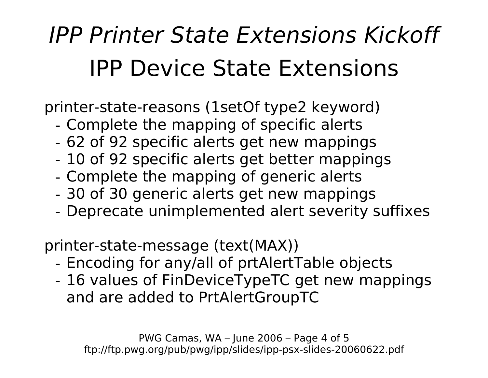## *IPP Printer State Extensions Kickoff*  IPP Device State Extensions

printer-state-reasons (1setOf type2 keyword)

- Complete the mapping of specific alerts
- 62 of 92 specific alerts get new mappings
- 10 of 92 specific alerts get better mappings
- Complete the mapping of generic alerts
- 30 of 30 generic alerts get new mappings
- Deprecate unimplemented alert severity suffixes

printer-state-message (text(MAX))

- Encoding for any/all of prtAlertTable objects
- 16 values of FinDeviceTypeTC get new mappings and are added to PrtAlertGroupTC

PWG Camas, WA – June 2006 – Page 4 of 5 ftp://ftp.pwg.org/pub/pwg/ipp/slides/ipp-psx-slides-20060622.pdf